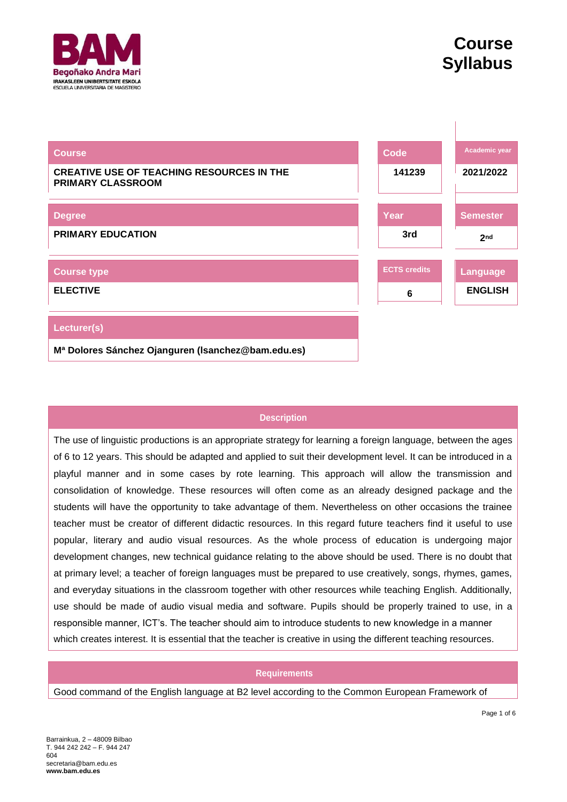

| <b>Course</b>                                                         | <b>Code</b>         | Academic year   |
|-----------------------------------------------------------------------|---------------------|-----------------|
| <b>CREATIVE USE OF TEACHING RESOURCES IN THE</b><br>PRIMARY CLASSROOM | 141239              | 2021/2022       |
|                                                                       |                     |                 |
| <b>Degree</b>                                                         | Year                | <b>Semester</b> |
| <b>PRIMARY EDUCATION</b>                                              | 3rd                 | 2 <sub>nd</sub> |
|                                                                       |                     |                 |
| <b>Course type</b>                                                    | <b>ECTS</b> credits | Language        |
| <b>ELECTIVE</b>                                                       | 6                   | <b>ENGLISH</b>  |
|                                                                       |                     |                 |
| Lecturer(s)                                                           |                     |                 |
| Mª Dolores Sánchez Ojanguren (Isanchez@bam.edu.es)                    |                     |                 |

# **Description**

The use of linguistic productions is an appropriate strategy for learning a foreign language, between the ages of 6 to 12 years. This should be adapted and applied to suit their development level. It can be introduced in a playful manner and in some cases by rote learning. This approach will allow the transmission and consolidation of knowledge. These resources will often come as an already designed package and the students will have the opportunity to take advantage of them. Nevertheless on other occasions the trainee teacher must be creator of different didactic resources. In this regard future teachers find it useful to use popular, literary and audio visual resources. As the whole process of education is undergoing major development changes, new technical guidance relating to the above should be used. There is no doubt that at primary level; a teacher of foreign languages must be prepared to use creatively, songs, rhymes, games, and everyday situations in the classroom together with other resources while teaching English. Additionally, use should be made of audio visual media and software. Pupils should be properly trained to use, in a responsible manner, ICT's. The teacher should aim to introduce students to new knowledge in a manner which creates interest. It is essential that the teacher is creative in using the different teaching resources.

## **Requirements**

Good command of the English language at B2 level according to the Common European Framework of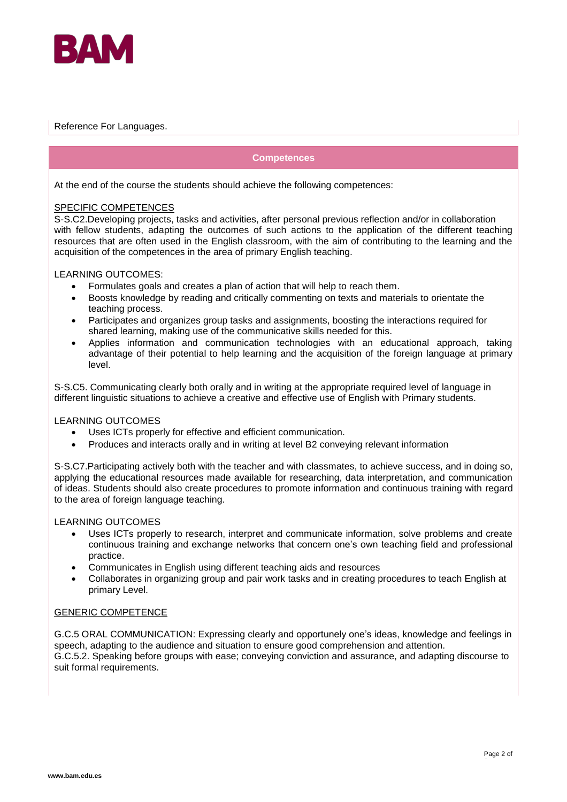

### Reference For Languages.

#### **Competences**

At the end of the course the students should achieve the following competences:

#### SPECIFIC COMPETENCES

S-S.C2.Developing projects, tasks and activities, after personal previous reflection and/or in collaboration with fellow students, adapting the outcomes of such actions to the application of the different teaching resources that are often used in the English classroom, with the aim of contributing to the learning and the acquisition of the competences in the area of primary English teaching.

#### LEARNING OUTCOMES:

- Formulates goals and creates a plan of action that will help to reach them.
- Boosts knowledge by reading and critically commenting on texts and materials to orientate the teaching process.
- Participates and organizes group tasks and assignments, boosting the interactions required for shared learning, making use of the communicative skills needed for this.
- Applies information and communication technologies with an educational approach, taking advantage of their potential to help learning and the acquisition of the foreign language at primary level.

S-S.C5. Communicating clearly both orally and in writing at the appropriate required level of language in different linguistic situations to achieve a creative and effective use of English with Primary students.

#### LEARNING OUTCOMES

- Uses ICTs properly for effective and efficient communication.
- Produces and interacts orally and in writing at level B2 conveying relevant information

S-S.C7.Participating actively both with the teacher and with classmates, to achieve success, and in doing so, applying the educational resources made available for researching, data interpretation, and communication of ideas. Students should also create procedures to promote information and continuous training with regard to the area of foreign language teaching.

## LEARNING OUTCOMES

- Uses ICTs properly to research, interpret and communicate information, solve problems and create continuous training and exchange networks that concern one's own teaching field and professional practice.
- Communicates in English using different teaching aids and resources
- Collaborates in organizing group and pair work tasks and in creating procedures to teach English at primary Level.

#### GENERIC COMPETENCE

G.C.5 ORAL COMMUNICATION: Expressing clearly and opportunely one's ideas, knowledge and feelings in speech, adapting to the audience and situation to ensure good comprehension and attention. G.C.5.2. Speaking before groups with ease; conveying conviction and assurance, and adapting discourse to

suit formal requirements.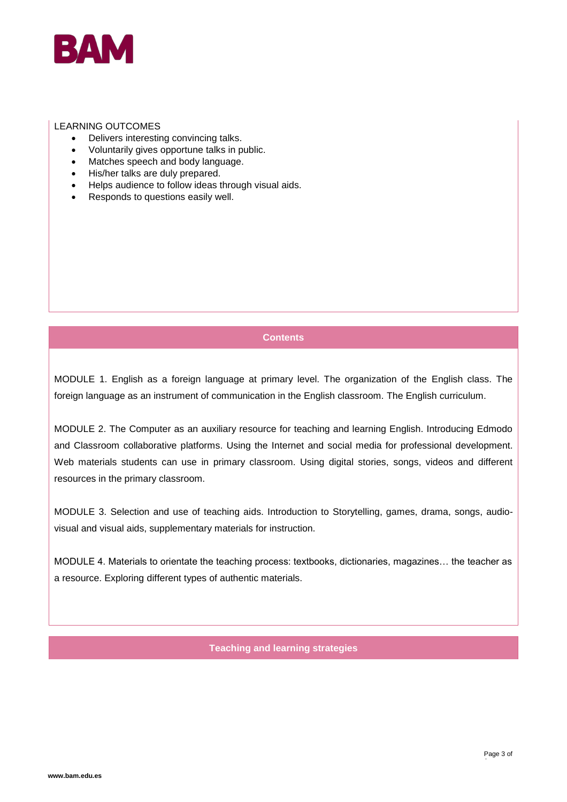

#### LEARNING OUTCOMES

- Delivers interesting convincing talks.
- Voluntarily gives opportune talks in public.
- Matches speech and body language.
- His/her talks are duly prepared.
- Helps audience to follow ideas through visual aids.
- Responds to questions easily well.

# **Contents**

MODULE 1. English as a foreign language at primary level. The organization of the English class. The foreign language as an instrument of communication in the English classroom. The English curriculum.

MODULE 2. The Computer as an auxiliary resource for teaching and learning English. Introducing Edmodo and Classroom collaborative platforms. Using the Internet and social media for professional development. Web materials students can use in primary classroom. Using digital stories, songs, videos and different resources in the primary classroom.

MODULE 3. Selection and use of teaching aids. Introduction to Storytelling, games, drama, songs, audiovisual and visual aids, supplementary materials for instruction.

MODULE 4. Materials to orientate the teaching process: textbooks, dictionaries, magazines… the teacher as a resource. Exploring different types of authentic materials.

## **Teaching and learning strategies**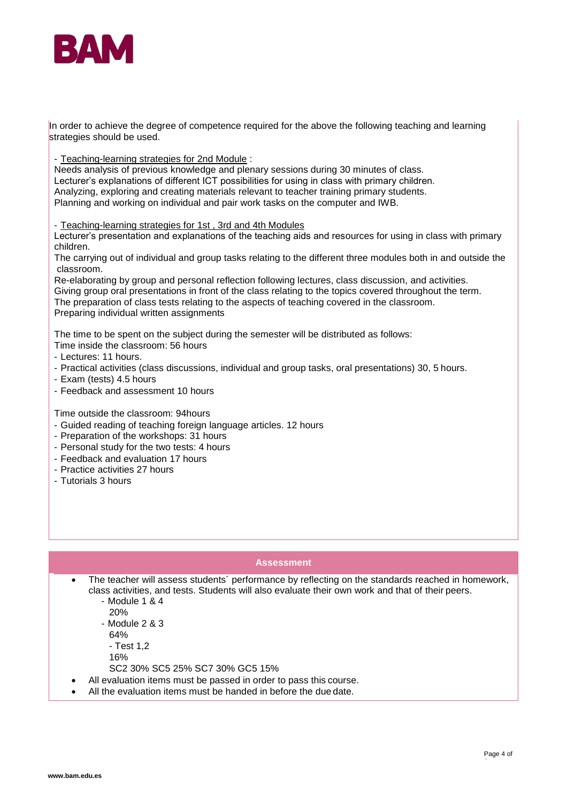

In order to achieve the degree of competence required for the above the following teaching and learning strategies should be used.

- Teaching-learning strategies for 2nd Module :

Needs analysis of previous knowledge and plenary sessions during 30 minutes of class. Lecturer's explanations of different ICT possibilities for using in class with primary children. Analyzing, exploring and creating materials relevant to teacher training primary students. Planning and working on individual and pair work tasks on the computer and IWB.

- Teaching-learning strategies for 1st , 3rd and 4th Modules

Lecturer's presentation and explanations of the teaching aids and resources for using in class with primary children.

The carrying out of individual and group tasks relating to the different three modules both in and outside the classroom.

Re-elaborating by group and personal reflection following lectures, class discussion, and activities. Giving group oral presentations in front of the class relating to the topics covered throughout the term. The preparation of class tests relating to the aspects of teaching covered in the classroom. Preparing individual written assignments

The time to be spent on the subject during the semester will be distributed as follows:

- Time inside the classroom: 56 hours
- Lectures: 11 hours.
- Practical activities (class discussions, individual and group tasks, oral presentations) 30, 5 hours.
- Exam (tests) 4.5 hours
- Feedback and assessment 10 hours

Time outside the classroom: 94hours

- Guided reading of teaching foreign language articles. 12 hours
- Preparation of the workshops: 31 hours
- Personal study for the two tests: 4 hours
- Feedback and evaluation 17 hours
- Practice activities 27 hours
- Tutorials 3 hours

## **Assessment**

- The teacher will assess students' performance by reflecting on the standards reached in homework, class activities, and tests. Students will also evaluate their own work and that of their peers. - Module 1 & 4
	- 20%
	- Module 2 & 3
	- 64%
	- Test 1,2
	- 16%
	- SC2 30% SC5 25% SC7 30% GC5 15%
- All evaluation items must be passed in order to pass this course.
- All the evaluation items must be handed in before the due date.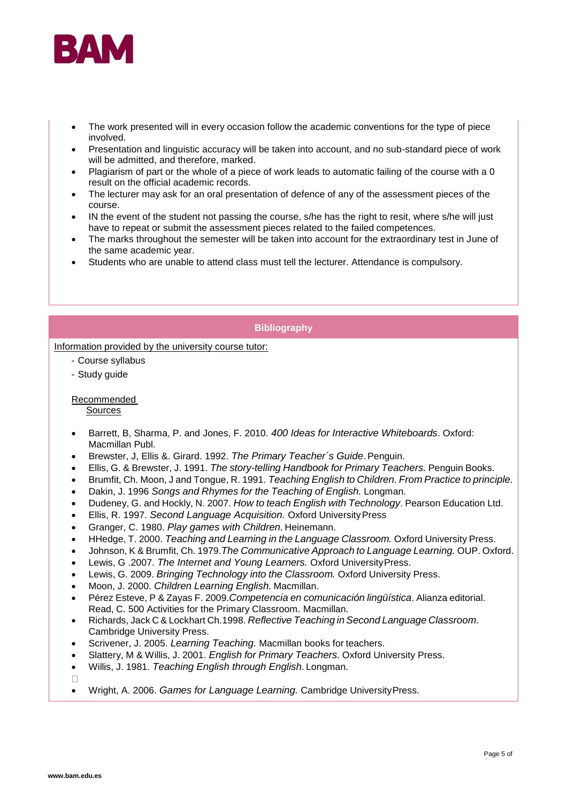

- The work presented will in every occasion follow the academic conventions for the type of piece involved.
- Presentation and linguistic accuracy will be taken into account, and no sub-standard piece of work will be admitted, and therefore, marked.
- Plagiarism of part or the whole of a piece of work leads to automatic failing of the course with a 0 result on the official academic records.
- The lecturer may ask for an oral presentation of defence of any of the assessment pieces of the course.
- IN the event of the student not passing the course, s/he has the right to resit, where s/he will just have to repeat or submit the assessment pieces related to the failed competences.
- The marks throughout the semester will be taken into account for the extraordinary test in June of the same academic year.
- Students who are unable to attend class must tell the lecturer. Attendance is compulsory.

## **Bibliography**

Information provided by the university course tutor:

- Course syllabus
- Study guide

# Recommended

# Sources

- Barrett, B, Sharma, P. and Jones, F. 2010. *400 Ideas for Interactive Whiteboards*. Oxford: Macmillan Publ.
- Brewster, J, Ellis &. Girard. 1992. *The Primary Teacher´s Guide*.Penguin.
- Ellis, G. & Brewster, J. 1991. *The story-telling Handbook for Primary Teachers.* Penguin Books.
- Brumfit, Ch. Moon, J and Tongue, R. 1991. *Teaching English to Children. From Practice to principle.*
- Dakin, J. 1996 *Songs and Rhymes for the Teaching of English.* Longman.
- Dudeney, G. and Hockly, N. 2007. *How to teach English with Technology*. Pearson Education Ltd.
- Ellis, R. 1997. *Second Language Acquisition.* Oxford UniversityPress
- Granger, C. 1980. *Play games with Children.* Heinemann.
- HHedge, T. 2000. *Teaching and Learning in the Language Classroom.* Oxford University Press.
- Johnson, K & Brumfit, Ch. 1979.*The Communicative Approach to Language Learning.* OUP. Oxford.
- Lewis, G .2007. *The Internet and Young Learners.* Oxford UniversityPress.
- Lewis, G. 2009. *Bringing Technology into the Classroom.* Oxford University Press.
- Moon, J. 2000. *Children Learning English.* Macmillan.
- Pérez Esteve, P & Zayas F. 2009.*Competencia en comunicación lingüística*. Alianza editorial. Read, C. 500 Activities for the Primary Classroom. Macmillan.
- Richards, Jack C & Lockhart Ch.1998. *Reflective Teaching in Second Language Classroom*. Cambridge University Press.
- Scrivener, J. 2005. *Learning Teaching.* Macmillan books for teachers.
- Slattery, M & Willis, J. 2001. *English for Primary Teachers.* Oxford University Press.
- Willis, J. 1981. *Teaching English through English.* Longman.

 $\Box$ 

Wright, A. 2006. *Games for Language Learning.* Cambridge UniversityPress.